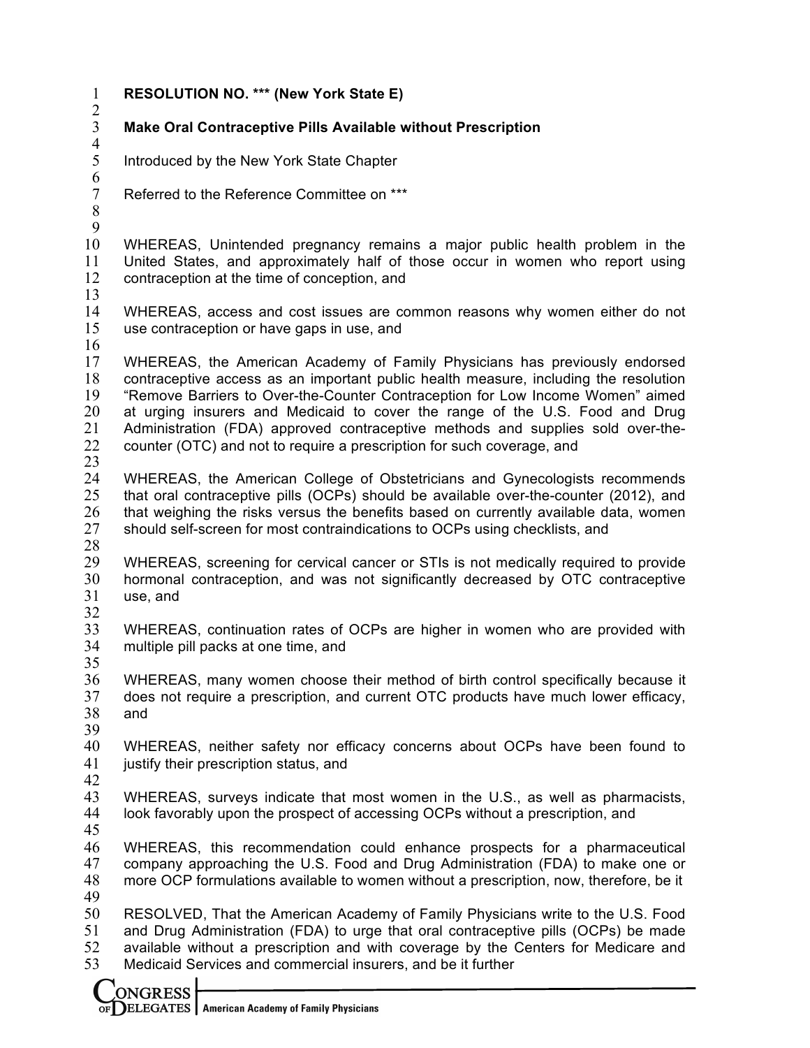| $\mathbf{1}$                           | <b>RESOLUTION NO. *** (New York State E)</b>                                                                                                                                                                                                                                                                                                                                                                                                                                                      |
|----------------------------------------|---------------------------------------------------------------------------------------------------------------------------------------------------------------------------------------------------------------------------------------------------------------------------------------------------------------------------------------------------------------------------------------------------------------------------------------------------------------------------------------------------|
| $\frac{2}{3}$<br>$\overline{4}$        | <b>Make Oral Contraceptive Pills Available without Prescription</b>                                                                                                                                                                                                                                                                                                                                                                                                                               |
| 5<br>$\boldsymbol{6}$                  | Introduced by the New York State Chapter                                                                                                                                                                                                                                                                                                                                                                                                                                                          |
| $\boldsymbol{7}$<br>8<br>9             | Referred to the Reference Committee on ***                                                                                                                                                                                                                                                                                                                                                                                                                                                        |
| 10<br>11<br>12<br>13                   | WHEREAS, Unintended pregnancy remains a major public health problem in the<br>United States, and approximately half of those occur in women who report using<br>contraception at the time of conception, and                                                                                                                                                                                                                                                                                      |
| 14<br>15<br>16                         | WHEREAS, access and cost issues are common reasons why women either do not<br>use contraception or have gaps in use, and                                                                                                                                                                                                                                                                                                                                                                          |
| 17<br>18<br>19<br>20<br>21<br>22<br>23 | WHEREAS, the American Academy of Family Physicians has previously endorsed<br>contraceptive access as an important public health measure, including the resolution<br>"Remove Barriers to Over-the-Counter Contraception for Low Income Women" aimed<br>at urging insurers and Medicaid to cover the range of the U.S. Food and Drug<br>Administration (FDA) approved contraceptive methods and supplies sold over-the-<br>counter (OTC) and not to require a prescription for such coverage, and |
| 24<br>25<br>26<br>27<br>28             | WHEREAS, the American College of Obstetricians and Gynecologists recommends<br>that oral contraceptive pills (OCPs) should be available over-the-counter (2012), and<br>that weighing the risks versus the benefits based on currently available data, women<br>should self-screen for most contraindications to OCPs using checklists, and                                                                                                                                                       |
| 29<br>30<br>31<br>32                   | WHEREAS, screening for cervical cancer or STIs is not medically required to provide<br>hormonal contraception, and was not significantly decreased by OTC contraceptive<br>use, and                                                                                                                                                                                                                                                                                                               |
| 33<br>34<br>35                         | WHEREAS, continuation rates of OCPs are higher in women who are provided with<br>multiple pill packs at one time, and                                                                                                                                                                                                                                                                                                                                                                             |
| 36<br>37<br>38<br>39                   | WHEREAS, many women choose their method of birth control specifically because it<br>does not require a prescription, and current OTC products have much lower efficacy,<br>and                                                                                                                                                                                                                                                                                                                    |
| 40<br>41<br>42                         | WHEREAS, neither safety nor efficacy concerns about OCPs have been found to<br>justify their prescription status, and                                                                                                                                                                                                                                                                                                                                                                             |
| 43<br>44<br>45                         | WHEREAS, surveys indicate that most women in the U.S., as well as pharmacists,<br>look favorably upon the prospect of accessing OCPs without a prescription, and                                                                                                                                                                                                                                                                                                                                  |
| 46<br>47<br>48<br>49                   | WHEREAS, this recommendation could enhance prospects for a pharmaceutical<br>company approaching the U.S. Food and Drug Administration (FDA) to make one or<br>more OCP formulations available to women without a prescription, now, therefore, be it                                                                                                                                                                                                                                             |
| 50<br>51<br>52<br>53                   | RESOLVED, That the American Academy of Family Physicians write to the U.S. Food<br>and Drug Administration (FDA) to urge that oral contraceptive pills (OCPs) be made<br>available without a prescription and with coverage by the Centers for Medicare and<br>Medicaid Services and commercial insurers, and be it further                                                                                                                                                                       |
|                                        | <b>ONGRESS</b>                                                                                                                                                                                                                                                                                                                                                                                                                                                                                    |